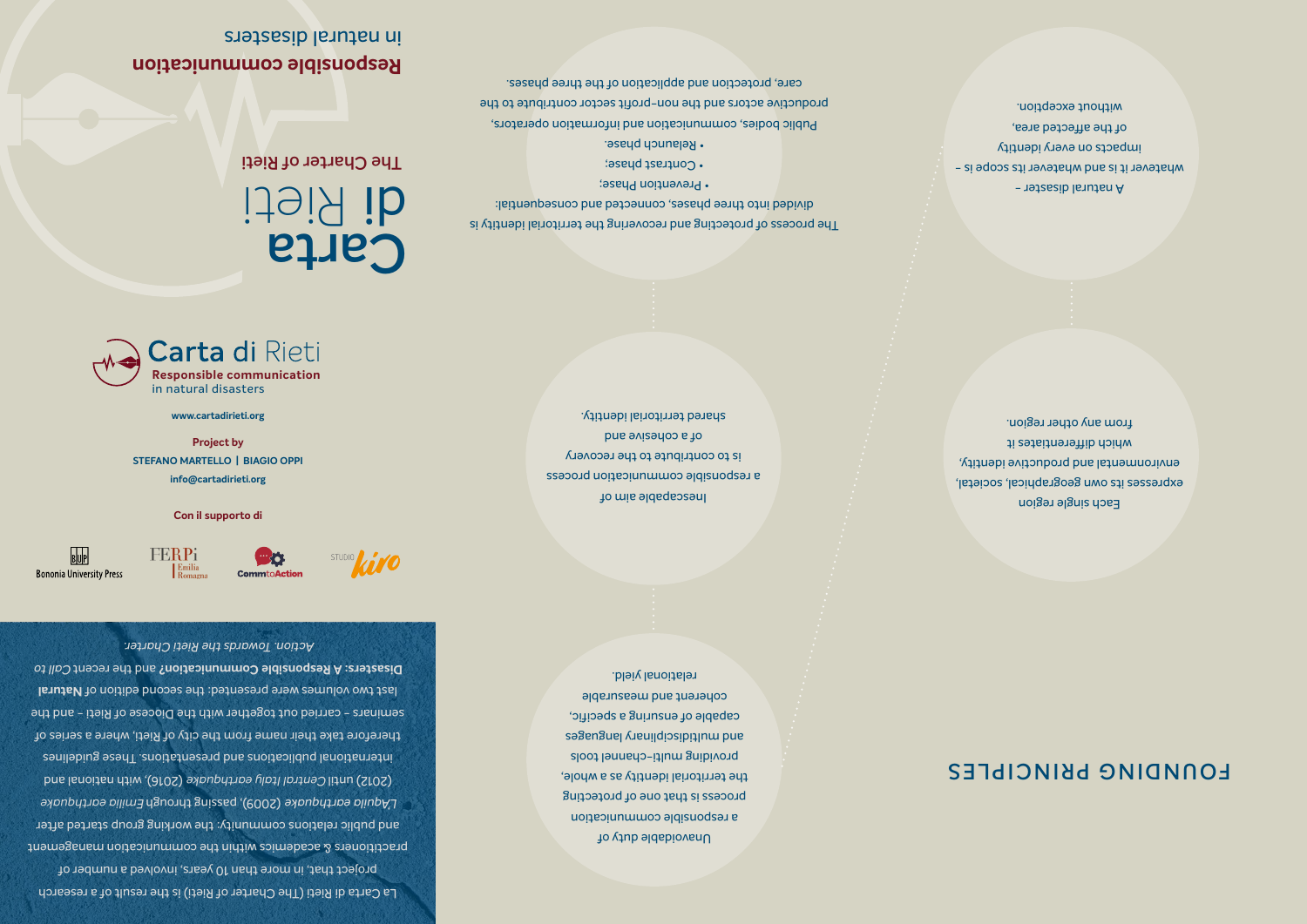A natural disaster whatever it is and whatever its scope is impacts on every identity of the affected area, without exception.

Unavoidable duty of a responsible communication process is that one of protecting the territorial identity as a whole, providing multi-channel tools and multidiosipitium bases capable of ensuring a specific, coherent and measurable relational yield.

**Carta**

idei<sub>n</sub> Rieti

**Carta di Rieti Responsible communication** in natural disasters

> Each single region expresses its own geographical, societal, environmental and productive identity, which differentiates it from any other region.

## **FOUNDING PRINCIPLES**

• Relaunch phase. Public bodies, communication and information operators, productive actors and the non-profit sector contribute to the care, protection and application of the three phases.

La Carta di Rieti (The Charter of Rieti) is the result of a research project that, in more than 10 years, involved a number of practitioners & academics within the communication management and public relations community: the working group started after *Emilia earthquake* (2009), passing through *L'Aquila earthquake* (2012) until Central Italy earthquake (2016), with national and international publications and presentations. These guidelines therefore take their name from the city of Rieti, where a series of seminars - carried out together with the Diocese of Rieti - and the last two volumes were presented: the second edition of Natural

Inescapable aim of a responsible communication process is to contribute to the recovery of a cohesive and shared territorial identity.

**The Charter of Rieti**

**Responsible communication** in natural disasters

The process of protecting and recovering the territorial identity is divided into three phases, connected and consequential: • Prevention Phase;

• Contrast phase;

**Disasters: A Responsible Communication?** and the recent Call to *Action. Towards the Rieti Charter.*

STUDIO VIVO

**www.cartadirieti.org**

**Project by STEFANO MARTELLO | BIAGIO OPPI info@cartadirieti.org**

**Con il supporto di**

 $\blacksquare$ 

**CommtoAction** 

**FERPi** 

Emilia<br>Romagni

 $B$ <sub>U</sub>P

**Bononia University Press**